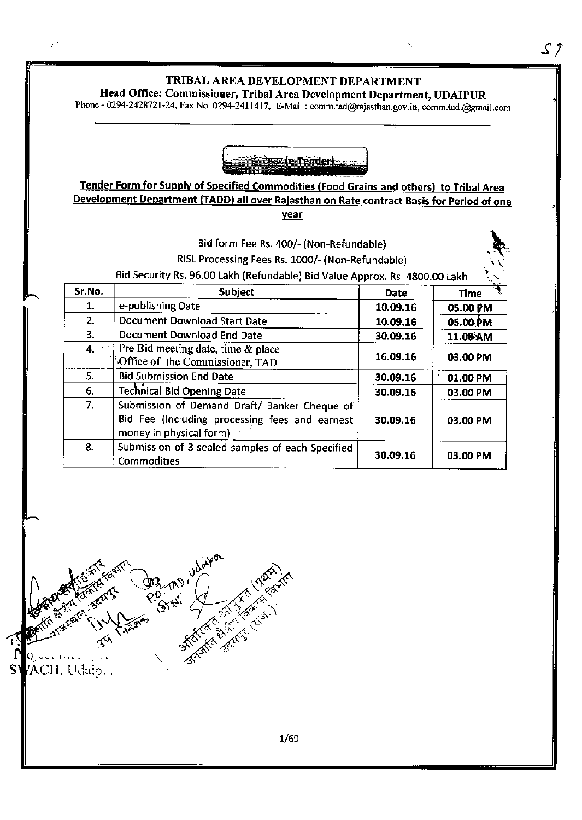$S \hat{J}$ 

# Head Office: Commissioner, Tribal Area Development Department, UDAIPUR

phoxe - 0294-242a721-24, Fax No. 0294-241t 4t 7, E-Mail I comm.rad@rqjasthan.gov.in, cornm.tad.@gmait.com



# Tender Form for Supplv of Specified Commodities lFood Grains and others) to Tribal Area Development Department (TADD) all over Rajasthan on Rate contract Basis for Period of one year

|        | Bid form Fee Rs. 400/- (Non-Refundable)<br>RISL Processing Fees Rs. 1000/- (Non-Refundable)<br>Bid Security Rs. 96.00 Lakh (Refundable) Bid Value Approx. Rs. 4800.00 Lakh |             |                    |
|--------|----------------------------------------------------------------------------------------------------------------------------------------------------------------------------|-------------|--------------------|
| Sr.No. | Subject                                                                                                                                                                    | <b>Date</b> | Time               |
| 1.     | e-publishing Date                                                                                                                                                          | 10.09.16    | 05.00 PM           |
| 2.     | <b>Document Download Start Date</b>                                                                                                                                        | 10.09.16    | 05.00 PM           |
| 3.     | Document Download End Date                                                                                                                                                 | 30.09.16    | 11.08 AM           |
| 4.     | Pre Bid meeting date, time & place<br>Office of the Commissioner, TAD                                                                                                      | 16.09.16    | 03.00 PM           |
| 5.     | <b>Bid Submission End Date</b>                                                                                                                                             | 30.09.16    | $\P$ .<br>01.00 PM |
| 6.     | <b>Technical Bid Opening Date</b>                                                                                                                                          | 30.09.16    | 03.00 PM           |
| 7.     | Submission of Demand Draft/ Banker Cheque of<br>Bid Fee (including processing fees and earnest<br>money in physical form)                                                  | 30.09.16    | 03.00 PM           |
| 8.     | Submission of 3 sealed samples of each Specified<br><b>Commodities</b>                                                                                                     | 30.09.16    | 03.00 PM           |



 $\mathbb{R}^3$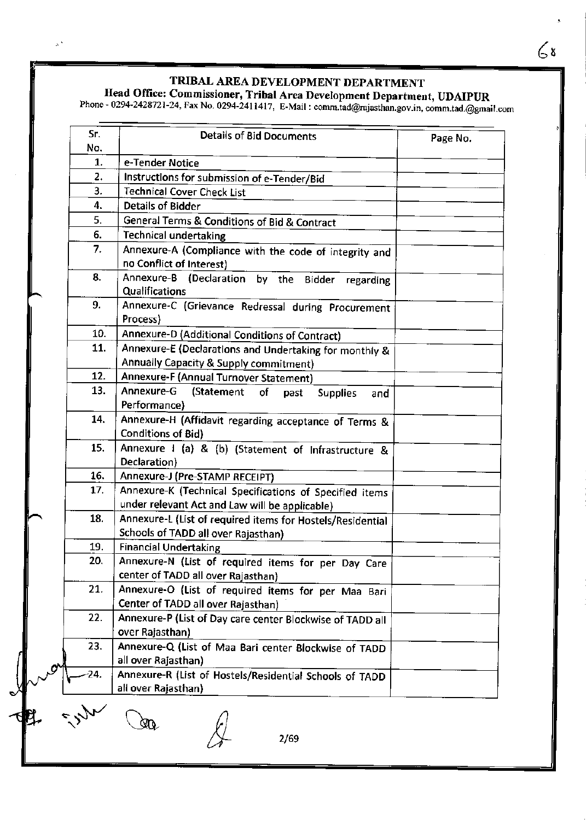$\propto$ 

# Head Office: Commissioner, Tribal Area Development Department, UDAIPUR<br>Phone - 0294-2428721-24, Fax No. 0294-2411417. E-Mail : comm tad@raiasthan.gov.in.comm tad@rm

Phone - 0294-2428721-24, Fax No. 0294-2411417, E-Mail : comm.tad@rajasthan.gov.in, comm.tad.@gmail.com

| e-Tender Notice<br>Instructions for submission of e-Tender/Bid<br><b>Technical Cover Check List</b><br><b>Details of Bidder</b><br>General Terms & Conditions of Bid & Contract<br>Technical undertaking<br>Annexure-A (Compliance with the code of integrity and<br>no Conflict of Interest)<br>Annexure-B (Declaration by the Bidder<br>regarding<br>Qualifications<br>Annexure-C (Grievance Redressal during Procurement<br>Process)<br>Annexure-D (Additional Conditions of Contract)<br>Annexure-E (Declarations and Undertaking for monthly &<br>Annually Capacity & Supply commitment)<br>Annexure-F (Annual Turnover Statement)<br>Annexure-G<br>(Statement<br>οf<br>past<br><b>Supplies</b><br>and<br>Performance)<br>Annexure-H (Affidavit regarding acceptance of Terms &<br><b>Conditions of Bid)</b> |                                                                                                                                                                                                                                                                                                                                                            |
|-------------------------------------------------------------------------------------------------------------------------------------------------------------------------------------------------------------------------------------------------------------------------------------------------------------------------------------------------------------------------------------------------------------------------------------------------------------------------------------------------------------------------------------------------------------------------------------------------------------------------------------------------------------------------------------------------------------------------------------------------------------------------------------------------------------------|------------------------------------------------------------------------------------------------------------------------------------------------------------------------------------------------------------------------------------------------------------------------------------------------------------------------------------------------------------|
|                                                                                                                                                                                                                                                                                                                                                                                                                                                                                                                                                                                                                                                                                                                                                                                                                   |                                                                                                                                                                                                                                                                                                                                                            |
|                                                                                                                                                                                                                                                                                                                                                                                                                                                                                                                                                                                                                                                                                                                                                                                                                   |                                                                                                                                                                                                                                                                                                                                                            |
|                                                                                                                                                                                                                                                                                                                                                                                                                                                                                                                                                                                                                                                                                                                                                                                                                   |                                                                                                                                                                                                                                                                                                                                                            |
|                                                                                                                                                                                                                                                                                                                                                                                                                                                                                                                                                                                                                                                                                                                                                                                                                   |                                                                                                                                                                                                                                                                                                                                                            |
|                                                                                                                                                                                                                                                                                                                                                                                                                                                                                                                                                                                                                                                                                                                                                                                                                   |                                                                                                                                                                                                                                                                                                                                                            |
|                                                                                                                                                                                                                                                                                                                                                                                                                                                                                                                                                                                                                                                                                                                                                                                                                   |                                                                                                                                                                                                                                                                                                                                                            |
|                                                                                                                                                                                                                                                                                                                                                                                                                                                                                                                                                                                                                                                                                                                                                                                                                   |                                                                                                                                                                                                                                                                                                                                                            |
|                                                                                                                                                                                                                                                                                                                                                                                                                                                                                                                                                                                                                                                                                                                                                                                                                   |                                                                                                                                                                                                                                                                                                                                                            |
|                                                                                                                                                                                                                                                                                                                                                                                                                                                                                                                                                                                                                                                                                                                                                                                                                   |                                                                                                                                                                                                                                                                                                                                                            |
|                                                                                                                                                                                                                                                                                                                                                                                                                                                                                                                                                                                                                                                                                                                                                                                                                   |                                                                                                                                                                                                                                                                                                                                                            |
|                                                                                                                                                                                                                                                                                                                                                                                                                                                                                                                                                                                                                                                                                                                                                                                                                   |                                                                                                                                                                                                                                                                                                                                                            |
|                                                                                                                                                                                                                                                                                                                                                                                                                                                                                                                                                                                                                                                                                                                                                                                                                   |                                                                                                                                                                                                                                                                                                                                                            |
|                                                                                                                                                                                                                                                                                                                                                                                                                                                                                                                                                                                                                                                                                                                                                                                                                   |                                                                                                                                                                                                                                                                                                                                                            |
|                                                                                                                                                                                                                                                                                                                                                                                                                                                                                                                                                                                                                                                                                                                                                                                                                   |                                                                                                                                                                                                                                                                                                                                                            |
| Annexure I (a) & (b) (Statement of Infrastructure &<br>Declaration)                                                                                                                                                                                                                                                                                                                                                                                                                                                                                                                                                                                                                                                                                                                                               |                                                                                                                                                                                                                                                                                                                                                            |
| Annexure-J (Pre-STAMP RECEIPT)                                                                                                                                                                                                                                                                                                                                                                                                                                                                                                                                                                                                                                                                                                                                                                                    |                                                                                                                                                                                                                                                                                                                                                            |
| Annexure-K (Technical Specifications of Specified items<br>under relevant Act and Law will be applicable)                                                                                                                                                                                                                                                                                                                                                                                                                                                                                                                                                                                                                                                                                                         |                                                                                                                                                                                                                                                                                                                                                            |
| Annexure-L (List of required items for Hostels/Residential<br>Schools of TADD all over Rajasthan)                                                                                                                                                                                                                                                                                                                                                                                                                                                                                                                                                                                                                                                                                                                 |                                                                                                                                                                                                                                                                                                                                                            |
| <b>Financial Undertaking</b>                                                                                                                                                                                                                                                                                                                                                                                                                                                                                                                                                                                                                                                                                                                                                                                      |                                                                                                                                                                                                                                                                                                                                                            |
| Annexure-N (List of required items for per Day Care                                                                                                                                                                                                                                                                                                                                                                                                                                                                                                                                                                                                                                                                                                                                                               |                                                                                                                                                                                                                                                                                                                                                            |
|                                                                                                                                                                                                                                                                                                                                                                                                                                                                                                                                                                                                                                                                                                                                                                                                                   |                                                                                                                                                                                                                                                                                                                                                            |
|                                                                                                                                                                                                                                                                                                                                                                                                                                                                                                                                                                                                                                                                                                                                                                                                                   |                                                                                                                                                                                                                                                                                                                                                            |
|                                                                                                                                                                                                                                                                                                                                                                                                                                                                                                                                                                                                                                                                                                                                                                                                                   |                                                                                                                                                                                                                                                                                                                                                            |
|                                                                                                                                                                                                                                                                                                                                                                                                                                                                                                                                                                                                                                                                                                                                                                                                                   |                                                                                                                                                                                                                                                                                                                                                            |
|                                                                                                                                                                                                                                                                                                                                                                                                                                                                                                                                                                                                                                                                                                                                                                                                                   | center of TADD all over Rajasthan)<br>Annexure-O (List of required items for per Maa Bari<br>Center of TADD all over Rajasthan)<br>Annexure-P (List of Day care center Blockwise of TADD all<br>over Rajasthan)<br>Annexure-Q (List of Maa Bari center Blockwise of TADD<br>all over Rajasthan)<br>Annexure-R (List of Hostels/Residential Schools of TADD |

2/69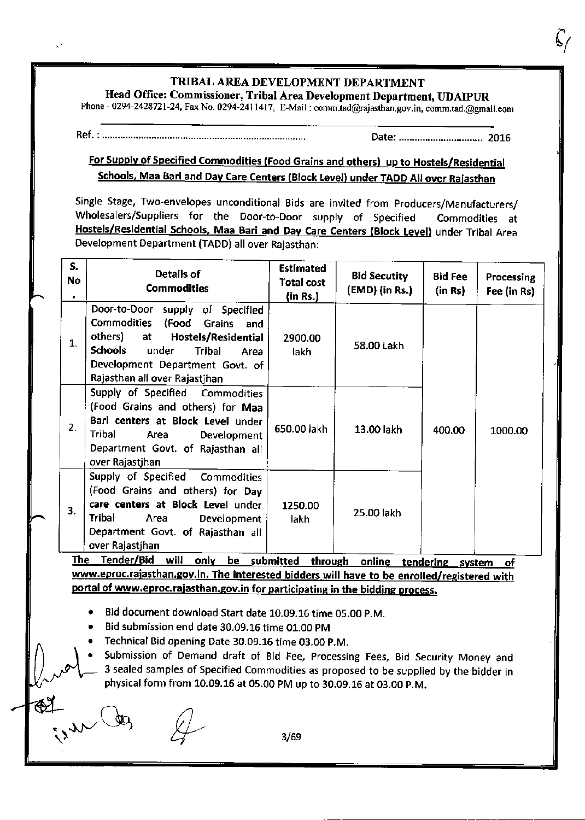# TRIBAL AREA DEVELOPMENT DEPARTMENT Head Office: Commissioner, Tribal Area Development Department, UDAIPUR

Phone - 0294-2428721-24, Fax No. 0294-2411417, E-Mail : comm.tad@rajasthan.gov.in, comm.tad.@gmail.com

 $\mathbf{x}^{\star}$ 

Date: .......,..,..................... 2016

# For Supply of Specified Commodities (Food Grains and others) up to Hostels/Residential Schools, Maa Bari and Day Care Centers (Block Level) under TADD All over Rajasthan

Single Stage, Two-envelopes unconditional Bids are invited from Producers/Manufacturers/ Wholesalers/Suppliers for the Door-to Door supply of Specified Commodities at Hostels/Residential Schools, Maa Bari and Day Care Centers (Block Level) under Tribal Area Development Department (TADD) all over Rajasthan:

| S.<br>No | Details of<br><b>Commodities</b>                                                                                                                                                                                                                     | <b>Estimated</b><br><b>Total cost</b><br>(in Rs.) | <b>Bid Secutity</b><br>(EMD) (in Rs.) | <b>Bid Fee</b><br>(in Rs) | Processing<br>Fee (in Rs) |
|----------|------------------------------------------------------------------------------------------------------------------------------------------------------------------------------------------------------------------------------------------------------|---------------------------------------------------|---------------------------------------|---------------------------|---------------------------|
| 1.       | Door-to-Door supply of Specified<br><b>Commodities</b><br>(Food<br><b>Grains</b><br>and<br>others) at<br>Hostels/Residential<br><b>Schools</b><br>under<br><b>Tribal</b><br>Area<br>Development Department Govt. of<br>Rajasthan all over Rajastjhan | 2900.00<br>lakh                                   | 58.00 Lakh                            |                           |                           |
| 2.       | Supply of Specified Commodities<br>(Food Grains and others) for Maa<br>Bari centers at Block Level under<br>Tribal<br>Area<br>Development<br>Department Govt. of Rajasthan all<br>over Rajastjhan                                                    | 650.00 lakh                                       | 13.00 lakh                            | 400.00                    | 1000.00                   |
| 3.       | Supply of Specified Commodities<br>(Food Grains and others) for Day<br>care centers at Block Level under<br>Tribal<br>Area<br>Development<br>Department Govt. of Rajasthan all<br>over Rajastjhan                                                    | 1250.00<br>lakh                                   | 25.00 lakh                            |                           |                           |

The Tender/Bid will only be submitted through online tendering system of www.eproc.rajasthan.gov.in. The interested bidders will have to be enrolled/registered with portal of www.eproc.rajasthan.gov.in for participating in the bidding process.

. Bid document download Start date 10.09.16 time O5.OO p.M.

. Bid submission end date 30.09.16 time 01.00 pM

. Technical Bid opening Date 30.09.16 time 03.00 p.M.

Submission of Demand draft of Bid Fee, Processing Fees, Bid Security Money and 3 sealed samples of Specified Commodities as proposed to be supplied by the bidder in physical form from 10.09.16 at 05.00 PM up to 30.09.16 at 03.00 P.M.

 $L_{\text{max}}$  dez  $L_{\text{max}}$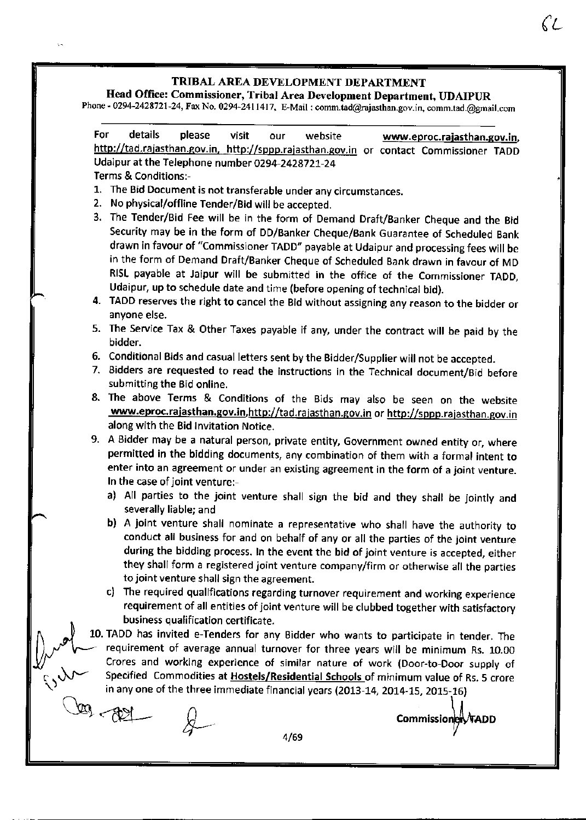$\sqrt{s}$ 

# Head Office: Commissioner, Tribal Area Development Department, UDAIPUR

Phone - 0294-2428721-24, Fax No. 0294-2411417, E-Mail : comm.tad@rajasthan.gov.in, comm.tad.@gmail.con

| For | details<br>please<br>visit<br>website<br>our<br>www.eproc.rajasthan.gov.in,                                                                                                                                                                                                                                                                                                                                                                                                                                           |
|-----|-----------------------------------------------------------------------------------------------------------------------------------------------------------------------------------------------------------------------------------------------------------------------------------------------------------------------------------------------------------------------------------------------------------------------------------------------------------------------------------------------------------------------|
|     | http://tad.rajasthan.gov.in, http://sppp.rajasthan.gov.in or contact Commissioner TADD                                                                                                                                                                                                                                                                                                                                                                                                                                |
|     | Udaipur at the Telephone number 0294-2428721-24                                                                                                                                                                                                                                                                                                                                                                                                                                                                       |
|     | Terms & Conditions:-                                                                                                                                                                                                                                                                                                                                                                                                                                                                                                  |
|     | 1. The Bid Document is not transferable under any circumstances.                                                                                                                                                                                                                                                                                                                                                                                                                                                      |
|     | 2. No physical/offline Tender/Bid will be accepted.                                                                                                                                                                                                                                                                                                                                                                                                                                                                   |
|     | 3. The Tender/Bid Fee will be in the form of Demand Draft/Banker Cheque and the Bid<br>Security may be in the form of DD/Banker Cheque/Bank Guarantee of Scheduled Bank<br>drawn in favour of "Commissioner TADD" payable at Udaipur and processing fees will be<br>in the form of Demand Draft/Banker Cheque of Scheduled Bank drawn in favour of MD<br>RISL payable at Jaipur will be submitted in the office of the Commissioner TADD,<br>Udaipur, up to schedule date and time (before opening of technical bid). |
|     | 4. TADD reserves the right to cancel the Bid without assigning any reason to the bidder or<br>anyone else.                                                                                                                                                                                                                                                                                                                                                                                                            |
|     | 5. The Service Tax & Other Taxes payable if any, under the contract will be paid by the<br>bidder.                                                                                                                                                                                                                                                                                                                                                                                                                    |
|     | 6. Conditional Bids and casual letters sent by the Bidder/Supplier will not be accepted.                                                                                                                                                                                                                                                                                                                                                                                                                              |
|     | 7. Bidders are requested to read the instructions in the Technical document/Bid before<br>submitting the Bid online.                                                                                                                                                                                                                                                                                                                                                                                                  |
|     | 8. The above Terms & Conditions of the Bids may also be seen on the website                                                                                                                                                                                                                                                                                                                                                                                                                                           |
|     | www.eproc.rajasthan.gov.in.http://tad.rajasthan.gov.in or http://sppp.rajasthan.gov.in<br>along with the Bid Invitation Notice.                                                                                                                                                                                                                                                                                                                                                                                       |
|     | 9. A Bidder may be a natural person, private entity, Government owned entity or, where                                                                                                                                                                                                                                                                                                                                                                                                                                |
|     | permitted in the bidding documents, any combination of them with a formal intent to                                                                                                                                                                                                                                                                                                                                                                                                                                   |
|     | enter into an agreement or under an existing agreement in the form of a joint venture.                                                                                                                                                                                                                                                                                                                                                                                                                                |
|     | In the case of joint venture:-                                                                                                                                                                                                                                                                                                                                                                                                                                                                                        |
|     | a) All parties to the joint venture shall sign the bid and they shall be jointly and<br>severally liable; and                                                                                                                                                                                                                                                                                                                                                                                                         |
|     | b) A joint venture shall nominate a representative who shall have the authority to<br>conduct all business for and on behalf of any or all the parties of the joint venture<br>during the bidding process. In the event the bid of joint venture is accepted, either<br>they shall form a registered joint venture company/firm or otherwise all the parties<br>to joint venture shall sign the agreement.                                                                                                            |
|     | c) The required qualifications regarding turnover requirement and working experience<br>requirement of all entities of joint venture will be clubbed together with satisfactory                                                                                                                                                                                                                                                                                                                                       |
|     | business qualification certificate.                                                                                                                                                                                                                                                                                                                                                                                                                                                                                   |
|     | 10. TADD has invited e-Tenders for any Bidder who wants to participate in tender. The<br>requirement of average annual turnover for three years will be minimum Rs. 10.00                                                                                                                                                                                                                                                                                                                                             |
|     | Crores and working experience of similar nature of work (Door-to-Door supply of                                                                                                                                                                                                                                                                                                                                                                                                                                       |
|     | Specified Commodities at Hostels/Residential Schools of minimum value of Rs. 5 crore                                                                                                                                                                                                                                                                                                                                                                                                                                  |
|     | in any one of the three immediate financial years (2013-14, 2014-15, 2015-16)                                                                                                                                                                                                                                                                                                                                                                                                                                         |
|     | Commissioner                                                                                                                                                                                                                                                                                                                                                                                                                                                                                                          |
|     | 4/69                                                                                                                                                                                                                                                                                                                                                                                                                                                                                                                  |

 $\zeta_L$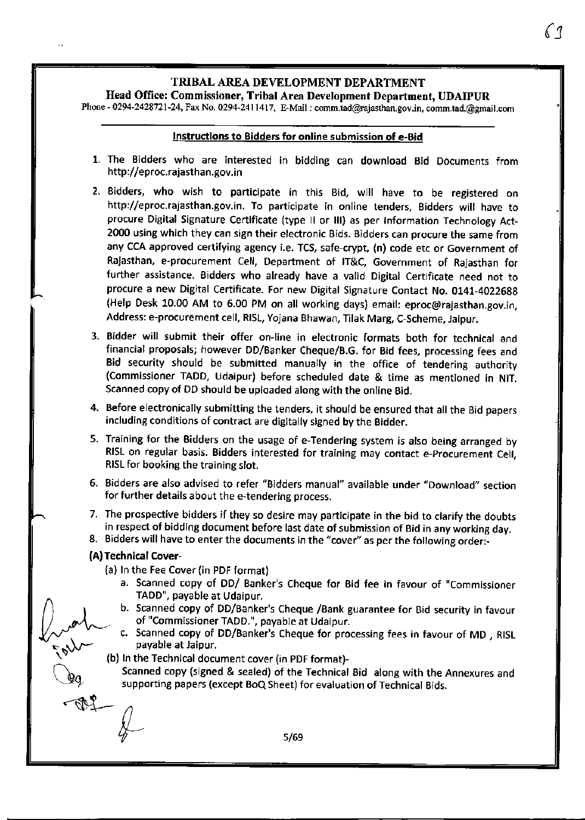$\zeta_1$ 

Head Office: Commissioner, Tribal Area Development Department, UDAIPUR

Phone - 0294-2428721-24, Fax No. 0294-2411417, E-Mail : comm.tad@rajasthan.gov.in, comm.tad.@gmail.com

#### Instructions to Eidders for online submission of e-Bid

- 1. The Bidders who are interested in bidding can download Bid Documents from http://eproc.rajasthan.gov,in
- 2. Bidders, who wish to participate in this Bid, will have to be registered on http://eproc.rajasthan.gov.in. To participate in online tenders, Bidders will have to procure Digital Signature Certificate (type II or III) as per Information Technology Act-2000 using which they can sign their electronic Bids. Bidders can procure the 5ame from any CCA approved certifying agency i.e. TCs, safe-crypt, (n) code etc or Government of Rajasthan, e-procurement Cell, Department of lT&C, Government of Rajasthan for further assistance. Bidders who already have a valid Digital Certificate need not to procure a new Digital Certificate. For new Digital Signature Contact No. 0141-4022688 (Help Desk 10.00 AM to 6.00 PM on all working days) email: eproc@rajasthan.gov.in, Address: e-procurement cell, RISL, Yojana Bhawan, Tilak Marg, C-Scheme, Jaipur.
- 3. Bidder will submit their offer on-line in electronic formats both for technical and financial proposals; however DD/Banker Cheque/B.G. for Bid fees, processlng fees and Bid security should be submitted manually in the office of tendering authority {Commissioner TADD, Udaipur) before scheduled date & time as mentioned in NlT. Scanned copy of DD should be uploaded along with the online Bid.
- 4. Before electronically submitting the tenders, it should be ensured that all the Bid papers including conditions of contract are digitally signed by the Bidder.
- 5. Training for the Bidders on the usage of e-Tendering system is also being arranged by RISL on regular basis. Bidders interested for training may contact e-procurement Cell, RISL for booking the training slot.
- 6. Bidders are also advised to refer "Bidders manual" available under "Download" section for further details about the e-tendering process.
- 7. The prospective bidders if they so desire may participate in the bid to clarify the doubts in respect of bidding document before last date of submission of Bid in any working day.
- 8. Bidders will have to enter the documents in the "cover" as per the following order:-

#### (A) Technical cover-

- (a) In the Fee Cover (in PDF format)
- a. Scanned copy of DD/ Banker's Cheque for Bid fee in favour of "Commissioner TADD", payable at Udaipur.<br>b. Scanned copy of DD/Banks
- / I I is b. Scanned copy of DD/Banker's Cheque /Bank guarantee for Bid security in favour Inity of "Commissioner TADD.", payable at Udaipur.<br>C. Scanned copy of DD/Banker's Cheque for pro-
	- Scanned copy of DD/Banker's Cheque for processing fees in favour of MD, RISL payable at Jaipur.
	- \" (b) In the Technical document cover (in PDF format)-

Scanned copy (signed & sealed) of the Technical Bid along with the Annexures and supporting papers (except BoQ Sheet) for evaluation of Technical Bids.

 $\overline{\mathbf{A}}$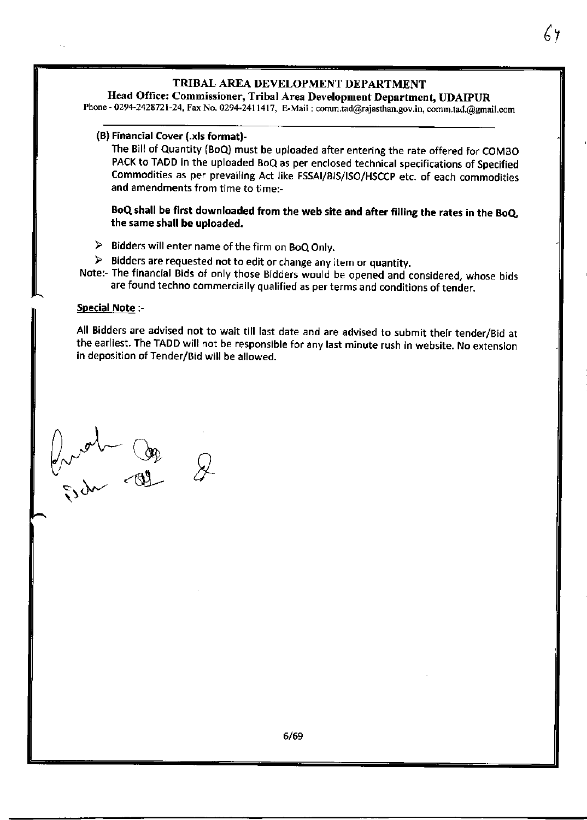# Head Office: Commissioner, Tribal Area Development Department, UDAIPUR

Phone - 0294-2428721-24, Fax No. 0294-2411417, E-Mail: comm.tad@rajasthan.gov.in, comm.tad.@gmail.com

#### (B) Financial Cover (.xls format)-

The Bill of Quantity (BoQ) must be uploaded after entering the rate offered for COMBO PACK to TADD in the uploaded BoQ as per enclosed technical specifications of Specified Commodities as per prevailing Act like FSSAT/BIS/|SO/HSCCp etc. of each commodities and amendments from time to time:-

#### BoQ shall be first downloaded from the web site and after filling the rates in the BoQ, the same shall be uploaded.

- $\triangleright$  Bidders will enter name of the firm on BoQ Only.
- $\triangleright$  Bidders are requested not to edit or change any item or quantity.
- Note:- The financial Bids of only those Bidders would be opened and considered, whose bjds are found techno commercially qualified as per terms and conditions of tender.

#### Special Note :-

All Bidders are advised not to wait till last date and are advised to submit their tender/Bid at the earliest. The TADD will not be responsible for any last minute rush in website. No extension in deposition of Tender/Bid will be allowed.

 $\int_{\gamma}$ r  $\sigma$ w<sub>c</sub>  $\mathbb{Q}_2$  $\frac{1}{2}$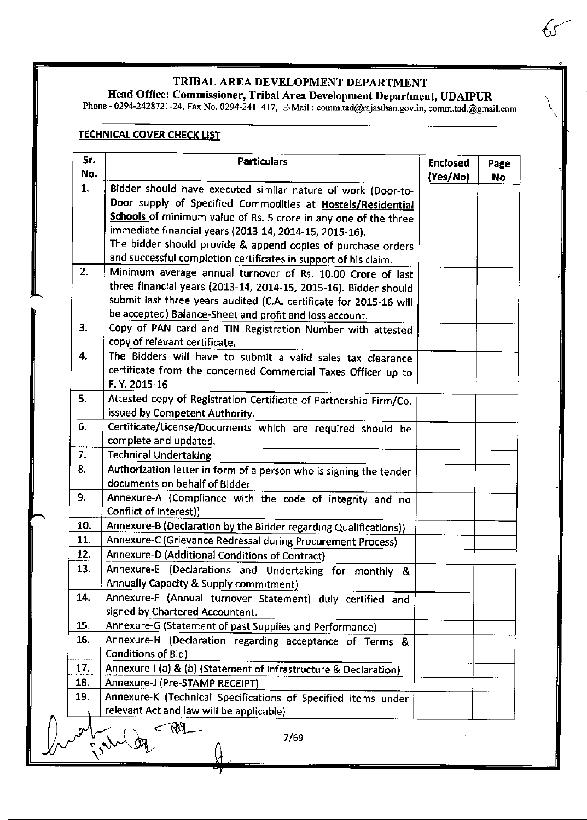# Head Office: Commissioner, Tribal Area Development Department, UDAIPUR

Phone - 0294-2428721-24, Fax No. 0294-2411417, E-Mait : comm.tad@rajasthan.gov.in, comm.tad.@gnait.com

# **TECHNICAL COVER CHECK LIST**

| Sr.<br>No. | <b>Particulars</b>                                                                 | <b>Enclosed</b><br>(Yes/No) | Page<br>No |
|------------|------------------------------------------------------------------------------------|-----------------------------|------------|
| 1.         | Bidder should have executed similar nature of work (Door-to-                       |                             |            |
|            | Door supply of Specified Commodities at Hostels/Residential                        |                             |            |
|            | Schools of minimum value of Rs. 5 crore in any one of the three                    |                             |            |
|            | immediate financial years (2013-14, 2014-15, 2015-16).                             |                             |            |
|            | The bidder should provide & append copies of purchase orders                       |                             |            |
|            | and successful completion certificates in support of his claim.                    |                             |            |
| 2.         | Minimum average annual turnover of Rs. 10.00 Crore of last                         |                             |            |
|            | three financial years (2013-14, 2014-15, 2015-16). Bidder should                   |                             |            |
|            | submit last three years audited (C.A. certificate for 2015-16 will                 |                             |            |
|            | be accepted) Balance-Sheet and profit and loss account.                            |                             |            |
| 3.         | Copy of PAN card and TIN Registration Number with attested                         |                             |            |
|            | copy of relevant certificate.                                                      |                             |            |
| 4.         | The Bidders will have to submit a valid sales tax clearance                        |                             |            |
|            | certificate from the concerned Commercial Taxes Officer up to                      |                             |            |
|            | F.Y. 2015-16                                                                       |                             |            |
| 5.         | Attested copy of Registration Certificate of Partnership Firm/Co.                  |                             |            |
|            | issued by Competent Authority.                                                     |                             |            |
| 6.         | Certificate/License/Documents which are required should be                         |                             |            |
|            | complete and updated.                                                              |                             |            |
| 7.         | <b>Technical Undertaking</b>                                                       |                             |            |
| 8.         | Authorization letter in form of a person who is signing the tender                 |                             |            |
|            | documents on behalf of Bidder                                                      |                             |            |
| 9.         | Annexure-A (Compliance with the code of integrity and no<br>Conflict of Interest)) |                             |            |
| 10.        | Annexure-B (Declaration by the Bidder regarding Qualifications))                   |                             |            |
| 11.        | Annexure-C (Grievance Redressal during Procurement Process)                        |                             |            |
| 12.        | Annexure-D (Additional Conditions of Contract)                                     |                             |            |
| 13.        | Annexure-E (Declarations and Undertaking for monthly &                             |                             |            |
|            | <b>Annually Capacity &amp; Supply commitment)</b>                                  |                             |            |
| 14.        | Annexure-F (Annual turnover Statement) duly certified and                          |                             |            |
|            | signed by Chartered Accountant.                                                    |                             |            |
| 15.        | Annexure-G (Statement of past Supplies and Performance)                            |                             |            |
| 16.        | Annexure-H (Declaration regarding acceptance of Terms &                            |                             |            |
|            | <b>Conditions of Bid)</b>                                                          |                             |            |
| 17.        | Annexure-I (a) & (b) (Statement of Infrastructure & Declaration)                   |                             |            |
| 18.        | Annexure-J (Pre-STAMP RECEIPT)                                                     |                             |            |
| 19.        | Annexure-K (Technical Specifications of Specified items under                      |                             |            |
|            | relevant Act and law will be applicable)                                           |                             |            |
|            | 7/69                                                                               |                             |            |

 $\int_{0}^{1}$   $\int_{0}^{1}$  7/69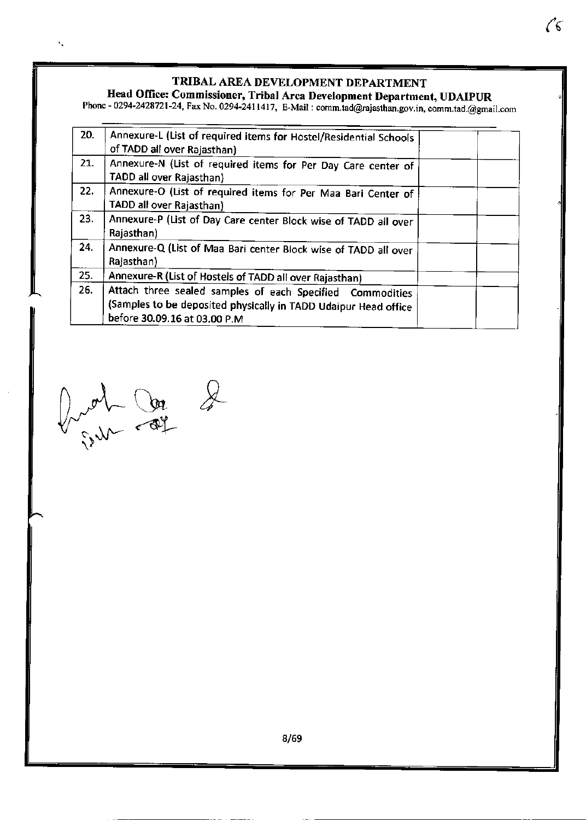$\sqrt[6]{6}$ 

# Head Office: Commissioner, Tribal Area Development Department, UDAIPUR<br>hope = 0294-2428721-24, Fax No. 0294-2411417, EMsily committed Output

Phone - 0294-2428721-24, Fax No. 0294-2411417, E-Mail : comm.tad@rajasthan.gov.in, comm.tad.@gmail.con

| 20. | Annexure-L (List of required items for Hostel/Residential Schools<br>of TADD all over Rajasthan)                                                             |
|-----|--------------------------------------------------------------------------------------------------------------------------------------------------------------|
| 21. | Annexure-N (List of required items for Per Day Care center of<br>TADD all over Rajasthan)                                                                    |
| 22. | Annexure-O (List of required items for Per Maa Bari Center of<br>TADD all over Rajasthan)                                                                    |
| 23. | Annexure-P (List of Day Care center Block wise of TADD all over<br>Rajasthan)                                                                                |
| 24. | Annexure-Q (List of Maa Bari center Block wise of TADD all over<br>Rajasthan)                                                                                |
| 25. | Annexure-R (List of Hostels of TADD all over Rajasthan)                                                                                                      |
| 26. | Attach three sealed samples of each Specified Commodities<br>(Samples to be deposited physically in TADD Udaipur Head office<br>before 30.09.16 at 03.00 P.M |

 $h \rightarrow h \rightarrow \mathbb{R}$  $V_{\text{v}}=4\pi\frac{v}{\sqrt{2}}$ 

 $\hat{\mathbf{v}}_k$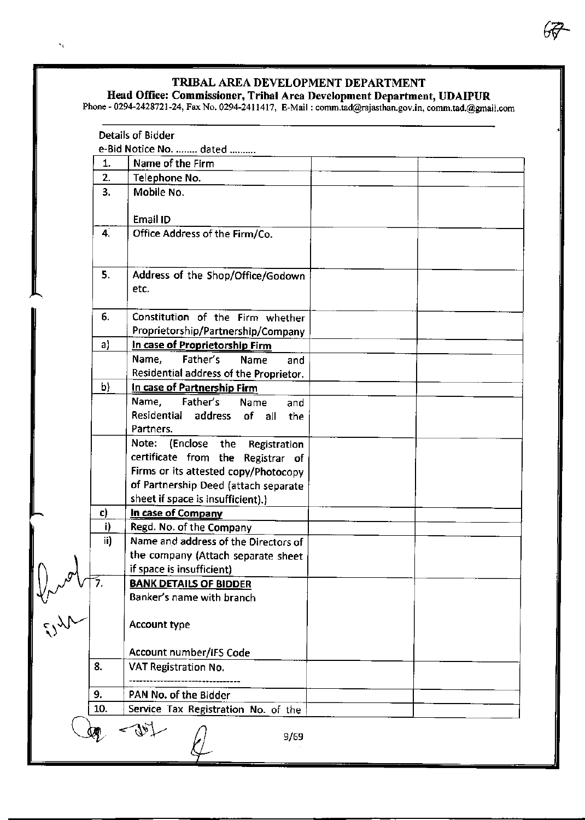## Head Office: Commissioner, Tribal Area Development Department, UDAIPUR

Phone - 0294-2428721-24, Fax No. 0294-2411417, E-Mail : comm.tad@rajasthan.gov.in, comm.tad.@gmail.cor

|                 | <b>Details of Bidder</b>                                                   |  |
|-----------------|----------------------------------------------------------------------------|--|
|                 | e-Bid Notice No.  dated                                                    |  |
|                 | Name of the Firm<br>1.                                                     |  |
| 2.              | Telephone No.                                                              |  |
| 3.              | Mobile No.                                                                 |  |
|                 | Email ID                                                                   |  |
| 4.              | Office Address of the Firm/Co.                                             |  |
| 5.              | Address of the Shop/Office/Godown                                          |  |
|                 | etc.                                                                       |  |
| 6.              | Constitution of the Firm whether<br>Proprietorship/Partnership/Company     |  |
| a)              | In case of Proprietorship Firm                                             |  |
|                 | Name,<br>Father's<br>Name<br>and<br>Residential address of the Proprietor. |  |
| b)              | In case of Partnership Firm                                                |  |
|                 | Name,<br>Father's<br>Name<br>and                                           |  |
|                 | Residential address<br>of<br>all<br>the<br>Partners.                       |  |
|                 | Note: (Enclose the Registration                                            |  |
|                 | certificate from the Registrar of                                          |  |
|                 | Firms or its attested copy/Photocopy                                       |  |
|                 | of Partnership Deed (attach separate                                       |  |
|                 | sheet if space is insufficient).)                                          |  |
| c)              | In case of Company                                                         |  |
|                 | i)<br>Regd. No. of the Company                                             |  |
|                 | ii)<br>Name and address of the Directors of                                |  |
|                 | the company (Attach separate sheet                                         |  |
|                 | if space is insufficient)                                                  |  |
| 7.              | <b>BANK DETAILS OF BIDDER</b>                                              |  |
|                 | Banker's name with branch                                                  |  |
| $m_{\tilde{t}}$ | Account type                                                               |  |
|                 | <b>Account number/IFS Code</b>                                             |  |
| 8.              | VAT Registration No.                                                       |  |
| 9.              | PAN No. of the Bidder                                                      |  |
| 10.             | Service Tax Registration No. of the                                        |  |
|                 | 9/69                                                                       |  |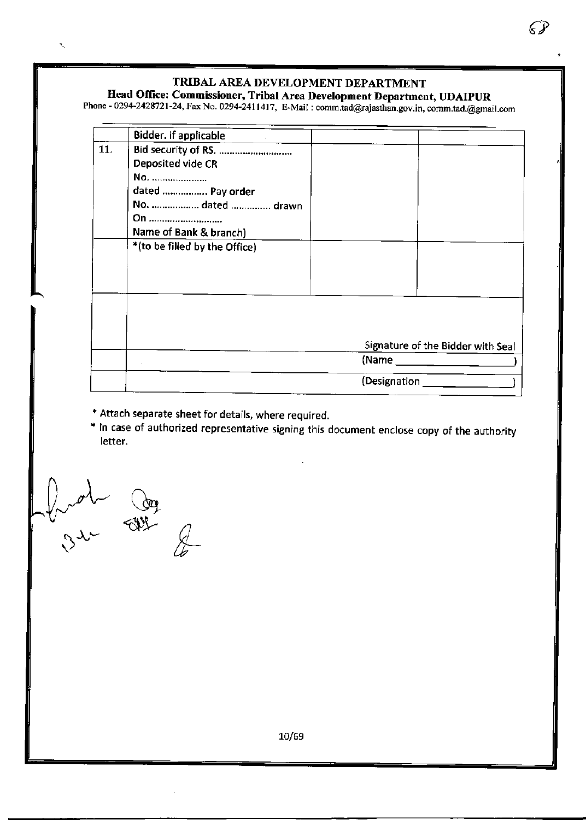€,

# Head Office: Commissioner, Tribal Area Development Department, UDAIPUR

Phone - 0294-2428721-24, Fax No. 0294-2411417, E-Mail : comm.tad@rajasthan.gov.in, comm.tad.@gmail.com

|     | Bidder. if applicable<br>$\mathcal{L}_{\text{max}}$ and $\mathcal{L}_{\text{max}}$ |                                   |
|-----|------------------------------------------------------------------------------------|-----------------------------------|
| 11. | Bid security of RS.                                                                |                                   |
|     | Deposited vide CR                                                                  |                                   |
|     | No.                                                                                |                                   |
|     | dated  Pay order                                                                   |                                   |
|     | No.  dated  drawn                                                                  |                                   |
|     | On                                                                                 |                                   |
|     | Name of Bank & branch)                                                             |                                   |
|     | *(to be filled by the Office)                                                      |                                   |
|     |                                                                                    |                                   |
|     |                                                                                    |                                   |
|     |                                                                                    |                                   |
|     |                                                                                    |                                   |
|     |                                                                                    |                                   |
|     |                                                                                    |                                   |
|     |                                                                                    | Signature of the Bidder with Seal |
|     |                                                                                    |                                   |
|     |                                                                                    |                                   |
|     |                                                                                    | (Designation                      |

\* Attach separate sheet for details, where required.<br>\* In case of authorized representative signing this document enclose copy of the authority letter.

 $\psi$  on the second  $\mathcal{L}$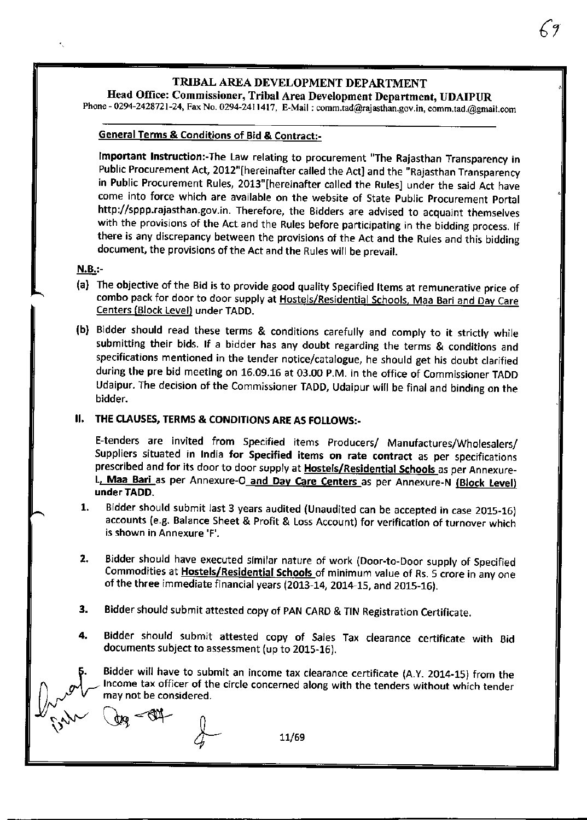$6\%$ 

# Head Olfice: Commissioner, Tribal Area Development Department, UDAIPUR

Phone - 0294-2428721-24, Fax No. 0294-2411417, E-Mail : comm.tad@rajasthan.gov.in, comm.tad.@gmail.com

#### General Terms & Conditions of Bid & Contract:-

Important Instruction:-The Law relating to procurement "The Rajasthan Transparency in Public Procurement Act, 2012"[hereinafter called the Act] and the "Rajasthan Transparency in Public Procurement Rules, 2013"[hereinafter called the Rules] under the said Act have come into force which are available on the website of State public procurement portal http://sppp.rajasthan.gov.in. Therefore, the Bidders are advised to acquaint themselves with the provisions of the Act and the Rules before participating in the bidding process. lf there is any discrepancy between the provisions of the Act and the Rules and this biddins document, the provisions of the Act and the Rules will be prevail.

#### **N.B.:-**

- (a) The objective of the Bid is to provide good quality Specified ttems at remunerative orice of combo pack for door to door supply at Hostels/Residential Schools, Maa Bari and Day Care Centers (Block Level) under TADD.
- (b) Bidder should read these terms & conditions carefully and comply to it strictly while submitting their bids. If a bidder has any doubt regarding the terms & conditions and specifications mentioned in the tender notice/catalogue, he should get his doubt clarified during the pre bid meeting on 16.09.16 at 03.00 p.M. in the office of Commissioner TADD Udaipur. The decision of the Commissioner TADD, Udaipur will be final and binding on the bidder. ood quality Specified Items at remunerative price<br>
Hostels/Residential Schools, Maa Bari and Day Ca<br>
mditions carefully and comply to it strictly wh<br>
any doubt regarding the terms & conditions an<br>
notice/catalogue, he shou

## . THE CLAUSES, TERMS & CONDITIONS ARE AS FOLLOWS:-

E-tenders are invited from Specified items producers/ Manufactures/Wholesalers/ Suppliers situated in India for Specified items on rate contract as per specifications prescribed and for its door to door supply at **Hostels/Residential Schools** as per Annexure-L. Maa Bari as per Annexure-O and Day Care Centers as per Annexure-N (Block Level) under TADD.

- Bidder should submit last 3 years audited (Unaudited can be accepted in case 2015-16) accounts (e.g. Balance Sheet & Profit & Loss Account) for verification of turnover which is shown in Annexure'F'. t.
- Bidder should have executed similar nature of work (Door-to-Door supply of Specified Commodities at Hostels/Residential Schools of minimum value of Rs. 5 crore in any one of the three immediate financial years (2013-14, 2014-15, and 2015-16). 2.
- Bidder should submit attested copy of PAN CARD & TIN Registration Certificate. 3.
- Bidder should submit attested copy of Sales Tax clearance certificate with Bid documents subject to assessment (up to 2015-16). 4.

Bidder will have to submit an income tax clearance certificate {A.y. 2014-15) from the Income tax officer of the circle concerned along with the tenders without which tender mav not be considered.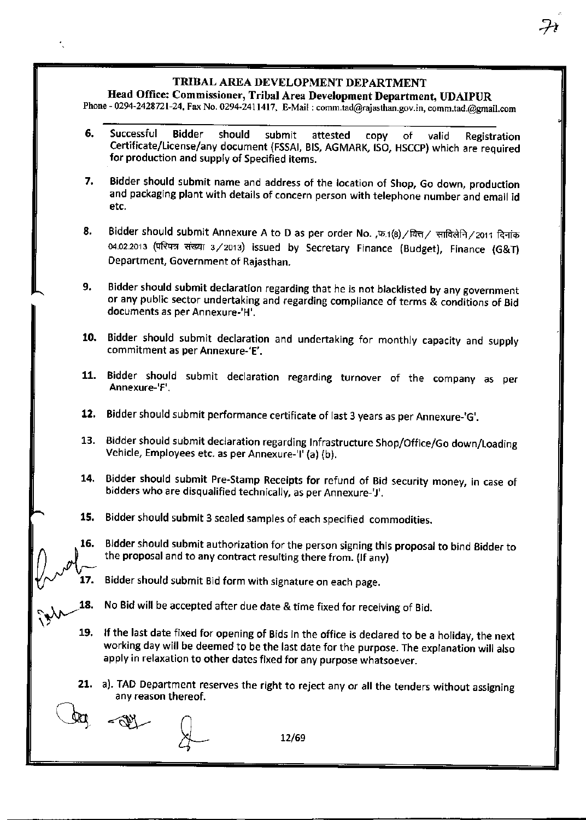# Head Office: Commissioner, Tribal Area Development Department, UDAIPUR

Phone - 0294-2428721-24, Fax No. 0294-2411417, E-Mail: comm.tad@rajasthan.gov.in, comm.tad.@gmail.com

- 6. Successful Bidder should submit attested copy of valid Registration Certificate/License/any document (FSSAI, BIS, AGMARK, ISO, HSCCP) which are required for production and supply of Specified items.
- 7. Bidder should submit name and address of the location of Shop, Go down, production and packaging plant with detajls of concern person with telephone number and email id etc.
- 8. Bidder should submit Annexure A to D as per order No. ,फ.1(8) / वित्त / साविलेनि / 2011 दिनांक 04.02.2013 (परिपत्र संख्या 3/2013) issued by Secretary Finance (Budget), Finance (G&T) Department, Government of Rajasthan.
- 9. Bidder should submit declaration regarding that he is not blacklisted by any government or any public sector undertaking and regarding compliance of terms & conditions of Bid documents as per Annexure-'H'.
- Bidder should submit declaration and undertaking for monthly capacity and supply 10. commitment as per Annexure-'E'.
- 11. Bidder should submit declaration regarding turnover of the company as per Annexure-'F'.
- Bidder should submit performance certificate of last 3 years as per Annexure-'G'. t2,
- 13. Bidder should submit declaration regarding Infrastructure Shop/Office/Go down/Loading Vehicle, Employees etc. as per Annexure-'l' (a) (b).
- Bidder should submit Pre-Stamp Receipts for refund of Bid security money, in case of 14. bidders who are disqualified technically, as per Annexure-'J'.
- 15. Bidder should submit 3 sealed samples of each specified commodities.
- Bidder should submit authorization for the person signing this proposal to bind Bidder to 16. the proposal and to any contract resulting there from. (If any)
- 17. Bidder should submit Bid form with signature on each page.
- 18. No Bid will be accepted after due date & time fixed for receiving of Bid.
- $\sum_{i=1}^n$ lf the last date fired for opening of Bids in the office is declared to be a holidav, the next working day will be deemed to be the last date for the purpose. The explanation will also apply in relaxation to other dates fixed for any purpose whatsoever. 19.
	- 21. a). TAD Department reserves the right to reject any or all the tenders without assigning<br>any reason thereof.<br>  $\bigcirc$ anv reason thereof.

12/69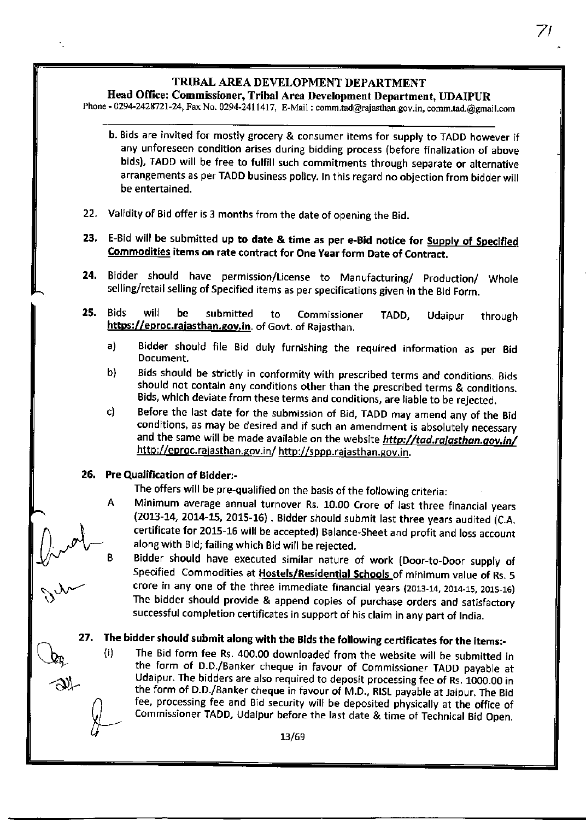# Head Office: Commissioner, Tribal Area Development Department, UDAIPUR

Phone - 0294-2428721-24, Fax No. 0294-2411417, E-Mail : comm.tad@rajasthan.gov.in, comm.tad.@gmail.com

- b. Bids are invited for mostly grocery & consumer items for supply to TADD however if any unforeseen condition arises during bidding process (before finalization of above bids), TADD will be free to fulfill such commitments through separate or alternative arrangements as per TADD business policy. In this regard no objection from bidder will be entertained.
- Validity of Bid offer is 3 months from the date of opening the Bid. 22.
- E-Bid will be submitted up to date & time as per e-Bid notice for Supply of Specified Commodities items on rate contract for One Year form Date of Contract. 23.
- Bidder should have permission/License to Manufacturing/ production/ Whole selling/retail selling of Specified items as per specifications given in the Bid Form. 24.
- 25. Bids will be submitted to Commissioner https://eproc.rajasthan.gov.in. of Govt. of Rajasthan. TADD, Udaipur through
	- a) Bidder should file Bid duly furnishing the required information as per Bid Document.
	- b) Bids should be strictly in conformity with prescribed terms and conditions. Bids should not contain any conditions other than the prescribed terms & conditions.
	- c) Before the last date for the submission of Bid, TADD may amend any of the Bid conditions, as may be desired and if such an amendment is absolutely necessary and the same will be made available on the website http://tad.rajasthan.gov.in/ http://eproc.raiasthan.gov.in/ http://sppp.rajasthan.gov.in.

#### 26. Pre Qualification of Bidder:-

 $\int_{V}$  und

The offers will be pre-qualified on the basis of the following criteria:

- Minimum average annual turnover Rs. 10.00 Crore of last three financial vears А (2013-14, 2014-15, 2015-16) . Bidder should submit last three years audited (C.A. certificate for 2015-16 will be accepted) Balance-Sheet and profit and loss account along with Bid; failing which Bid will be rejected.
	- Bidder should have executed similar nature of work (Door-to-Door supply of Specified Commodities at Hostels/Residential Schools of minimum value of Rs. 5 crore in any one of the three immediate financial years (2013-14, 2014\_15, 2013,16) The bidder should provide & append copies of purchase orders and satisfactorv successful completion certificates in support of his claim in any part of India.

27. The bidder should submit along with the Bids the following certificates for the items:-<br>(i) The Bid form fee Rs. 400.00 downloaded from the website will be submitted in the form of D.D./Banker cheque in favour of Commissioner TADD payable ar Udaipur. The bidders are also required to deposit processing fee of Rs. 1000.00 in the form of D.D./Banker cheque in favour of M.D., RtSt payable at Jaipur, The Bid fee, processing fee and Bid security will be deposited physically at the office of Commissioner TADD, Udaipur before the last date & time of Technical Bid Open.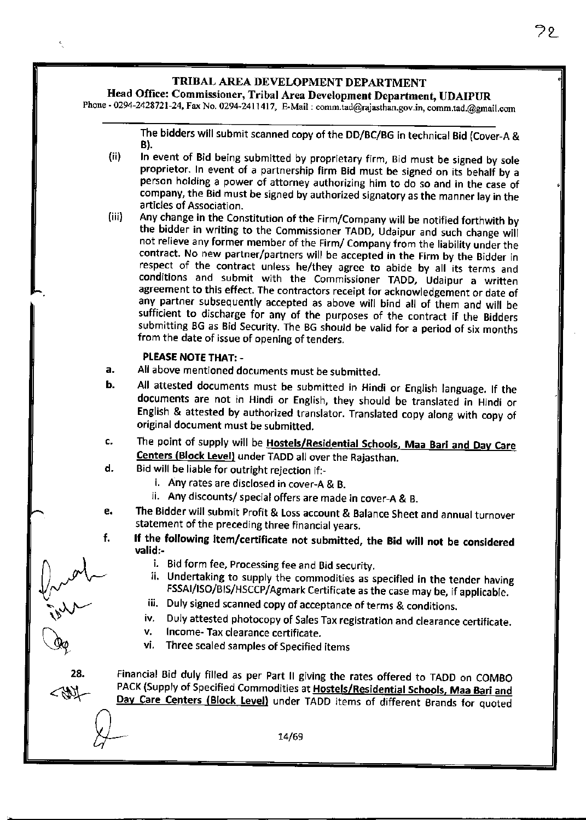# Head Office: Commissioner, Tribal Area Development Department, UDAIPUR

Phone - 0294-2428721-24, Fax No. 0294-2411417, E-Mail : comm.tad@rajasthan.gov.in, comm.tad.@gmail.com

The bidders will submit scanned copy of the DD/BC/BG in technical Bid (Cover-A & B).

- In event of Bid being submitted by proprietary firm, Bid must be signed by sole proprietor. In event of a partnership firm Bid must be signed on its behalf by a person holding a power of attorney authorizing him to do so and in the case of company, the Bid must be signed by authorized signatory as the manner lay in the  $(ii)$
- articles of Association.<br>Any change in the Constitution of the Firm/Company will be notified forthwith by the bidder in writing to the Commissioner TADD, Udaipur and such change will not relieve any former member of the Firm/ Company from the liability under tne contract. No new partner/partners will be accepted in the Firm by the Bidder in respect of the contract unless he/they agree to abide by all its terms and conditions and submit with the Commissioner TADD, Udaipur a written agreement to this effect, The contractors receipt for acknowledgement or date of any partner subsequently accepted as above will bind all of them and will be sufficient to discharge for any of the purposes of the contract if the Bidders submitting BG as 8id Security. The BG should be valid for a period of six montns from the date of issue of opening of tenders. (iii)

#### PLEASE NOTE THAT: -

 $\int_{\gamma}$  and  $\sim$ 

 $\bigcup_{n=1}^{\infty}$ 

28.

 $\frac{\Delta}{\Delta}$ 

.sI\_

 $\mathbb{Q}_{\!\varphi}$ 

- All above mentioned documents must be submitted. a.
- All attested documents must be submitted in Hindi or English language. lf the documents are not in Hindi or English, they should be translated in Hindi or English & attested by authorized translator. Translated copy along with copy of original document must be submitted. b.
- c. The point of supply will be **Hostels/Residential Schools, Maa Bari and Day Care** Centers (Block Level) under TADD all over the Rajasthan.
- o. Bid will be liable for outright rejection if:
	- i. Any rates are disclosed in cover-A & B.
	- ii. Any discounts/ special offers are made in cover-A & B.
- The Bidder will submit profit & Loss account & Balance Sheet and annual turnover e. statement of the preceding three financial years. f.
	- If the following item/certificate not submitted, the Bid will not be considered valid:-
		-
		- i. Bid form fee, Processing fee and Bid security.<br>ii. Undertaking to supply the commodities as specified in the tender having<br>FSSAI/ISO/BIS/HSCCP/Agmark Certificate as the case may be, if applicable.
		-
		- Folialian: Duly signed scanned copy of acceptance of terms & conditions.<br>iv. Duly attested photocopy of Sales Tax registration and clearance certificate.<br>v. Income- Tax clearance certificate.
		-
		- vi. Three sealed samples of Specified items

Financial Bid duly filled as per Part II giving the rates offered to TADD on COMBO PACK (Supply of Specified Commodities at Hostels/Residential Schools, Maa Bari and Day Care Centers (Block Level) under TADD items of different Brands for quoted

14/69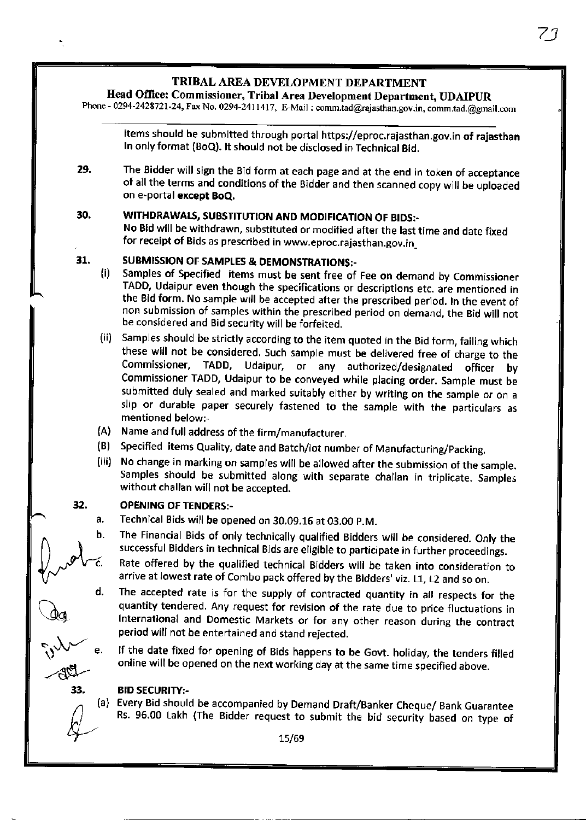# Head Office: Commissioner, Tribal Area Development Department, UDAIPUR

Phone - 0294-2428721-24, Fax No. 0294-2411417, E-Mail : comm.tad@rajasthan.gov.in, comm.tad.@gmail.com

items should be submitted through portal https://eproc.rajasthan.gov.in of rajasthan In only format (BoQ). It should not be disclosed in Technical Bid.

29. The Bidder will sign the Bid form at each page and at the end in token of acceptance of all the terms and conditions of the Bidder and then scanned copy will be uploaded on e-portal except 8oQ,

#### 30. WITHDRAWALS, SUBSTITUTION AND MODIFICATION OF BIDS:-

No Bid will be withdrawn, substituted or modified after the last time and date fixed for receipt of Bids as prescribed in www.eproc.rajasthan.gov.in\_

#### 31. SUBMISSION OF SAMPLES & DEMONSTRATIONS:-

- Samples of Specified items must be sent free of Fee on demand by Commissioner TADD, Udaipur even though the specifications or descriptions etc. are mentioned in the Bid form. No sample will be accepted after the prescribed period. In the event of non submission of samples within the prescribed period on demand, the Bid will not be considered and Bid security will be forfeited. (i)
- Samples should be strictly according to the item quoted in the Bid form, failing which (ii) these will not be considered. Such sample must be delivered free of charge to the Commissioner, TADD, Udaipur, or any authorized/designated officer by Commissioner TADD, Udaipur to be conveyed while placing order. Sample must be submitted duly sealed and marked suitably either by writing on the sample or on <sup>a</sup> slip or durable paper securely fastened to the sample with the particulars as mentioned below:,
- (A) Name and full address of the firm/manufacturer
- (B) Specified items Quality, date and Batch/lot number of Manufacturing/Packing
- (iii) No change in marking on samples will be allowed after the submission of the sample. Samples should be submitted along with separate challan in triplicate. Samples without challan will not be accepted.

#### **OPENING OF TENDERS:-**32.

- Technical Bids will be opened on 30.09.16 at 03.OO p.M. a.
- $\bigcap_{\alpha\in\Delta}$  $\int_{\gamma}$  ob-c. The Financial Bids of only technically qualified Bidders will be considered. Only the successful Bidders in technical Bids are eligible to participate in further proceedings.
	- Rate offered by the qualified technical Bidders will be taken into consideration to arrive at lowest rate of Combo pack offered by the Bidders' viz. 11, L2 and so on.
- d.  $\hat{v}^{\vee}$  " The accepted rate is for the supply of contracted quantity in all respects for the quantity tendered. Any request for revision of the rate due to price fluctuations in International and Domestic Markets or for any other reason during the contract period will not be entertained and stand reiected.

If the date fixed for opening of Bids happens to be Govt. holiday, the tenders filled online will be opened on the next working day at the same time specified above.

### **BID SECURITY:-**

ag

 $-40 -$ 33.

 $\&$ 

(a) Every Bid should be accompanied by Demand Draft/Banker Cheque/ Bank Guarantee<br>Rs. 96.00 Lakh (The Bidder request to submit the bid security based on type of Rs. 96.00 Lakh (The Bidder request to submit the bid security based on type of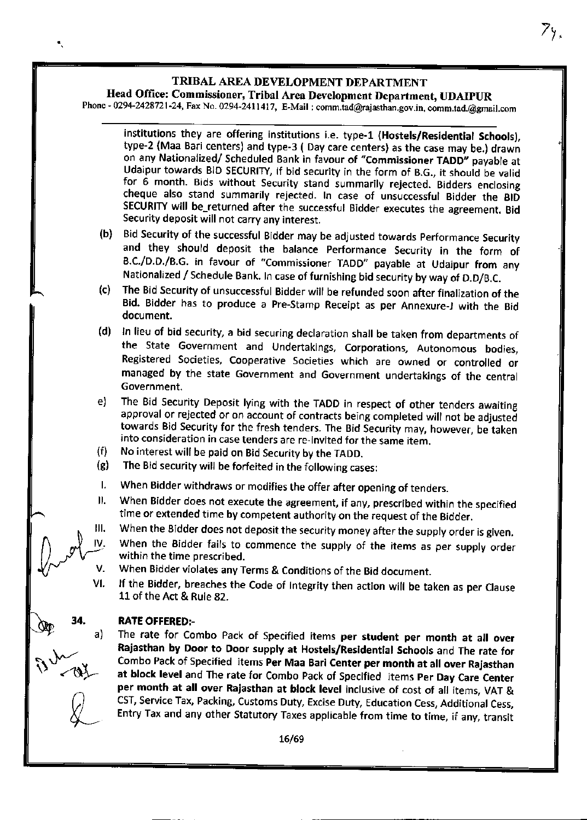$\bullet$ 

71.

# Head Office: Commiseioner, Tribal Area Development Department, UDAIPUR

Phone - 0294-2428721-24, Fax No. 0294-2411417, E-Mail: comm.tad@rajasthan.gov.in, comm.tad.@gmail.com

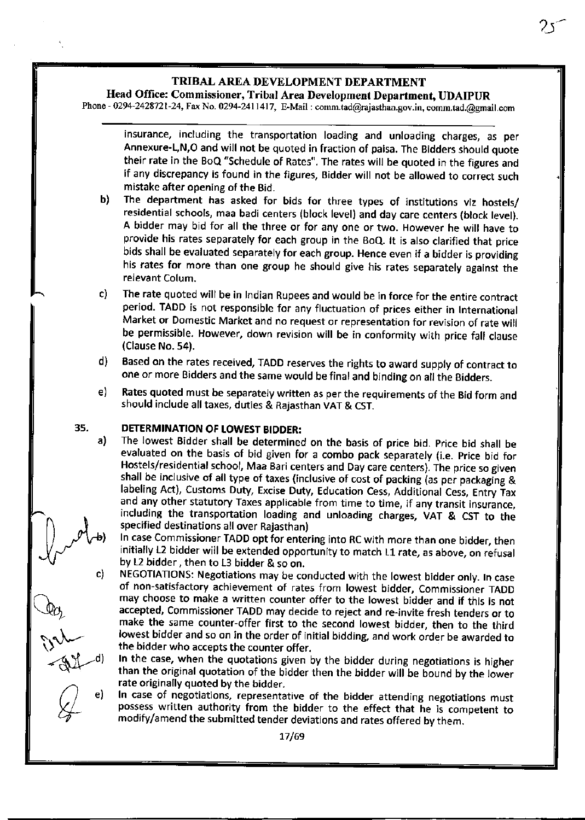# Head Office: Commissioner, Tribal Area Development Department, UDAIPUR

Phone - 0294-2428721-24, Fax No. 0294-2411417, E-Mail : comm.tad@rajasthan.gov.in, comm.tad.@gmail.com

insurance, including the transportation loading and unloading charges, as per Annexure-L,N,O and will not be quoted in fraction of paisa. The Bidders should quote their rate in the BoQ "Schedule of Rates". The rates will be quoted in the figures and if any discrepancy is found in the figures, Bidder will not be allowed to correct such mistake after opening of the Bid.

 $25$ 

- b) The department has asked for bids for three types of institutions viz hostels/ residential schools, maa badi centers (block level) and day care centers (block level). A bidder may bid for all the three or for any one or two. However he will have ro provide his rates separately for each group in the BoQ. It is also clarified that price bids shall be evaluated separately for each group. Hence even if a bidder is providinq his rates for more than one group he should give his rates separately against the relevant Colum.
- The rate quoted will be in Indian Rupees and would be in force for the entire contract period. TADD is not responsible for any fluctuation of prices either in International Market or Domestic Market and no request or representation for revision of rate will be permissible. However, down revision will be in conformity with price fall clause (Clause No.54). c)
- Eased on the rates received, TADD reserves the rights to award supply of contract to one or more Bidders and the same would be final and binding on all the gidders. o)
- e) Rates quoted must be separately written as per the requirements of the Bid form and should include all taxes, duties & Rajasthan VAT & CST.

#### DETERMINATION OF LOWEST BIDDER:

35.

 $\bigcap$ 

 $\mathbb{Q}_{q}$ 

 $\mathcal{L}$ 

 $-31$ 

 $\bigcirc$  e)

YL

The lowest Eidder shall be determined on the basis of price bid. price bid shall be evaluated on the basis of bid given for a combo pack separately (i.e. price bid for Hostels/residential school, Maa Bari centers and Day care centers). The price so given shall be inclusive of all type of taxes (inclusive of cost of packing (as per packaging & labeling Act), Customs Duty, Excise Duty, Education Cess, Additional Cess, Entry Tax and any other statutory Taxes applicable from time to time, if any transit insurance, including the transportation loading and unloading charges, VAT & CST to the specified destinations all over Rajasthan) a)  $\bigvee_{\alpha\in\mathbb{C}}\mathcal{N}_{\alpha}$ 

In case Commissioner TADD opt for entering into RC with more than one bjdder, then initially L2 bidder will be extended opportunity to match L1 rate, as above, on refusal

by L2 bidder, then to L3 bidder & so on.<br>NEGOTIATIONS: Negotiations may be conducted with the lowest bidder only. In case of non-satisfactory achievement of rates from lowest bidder, Commissioner TADD may choose to make a written counter offer to the lowest bidder and if this is not accepted, Commissioner TADD may decide to reject and re-jnvite fresh tenders or to make the same counter-offer first to the second lowest bidder, then to the third lowest bidder and so on in the order of initial bidding, and work order be awarded to the bidder who accepts the counter offer. c)

In the case, when the quotations given by the bidder during negotiations is higher than the original quotation of the bidder then the bidder will be bound by the lower rate originally quoted by the bidder.

In case of negotiations, representative of the bidder attending negotiations must possess written authority from the bidder to the effect that he is competent to modify/amend the submitted tender deviatjons and rates offered bv them.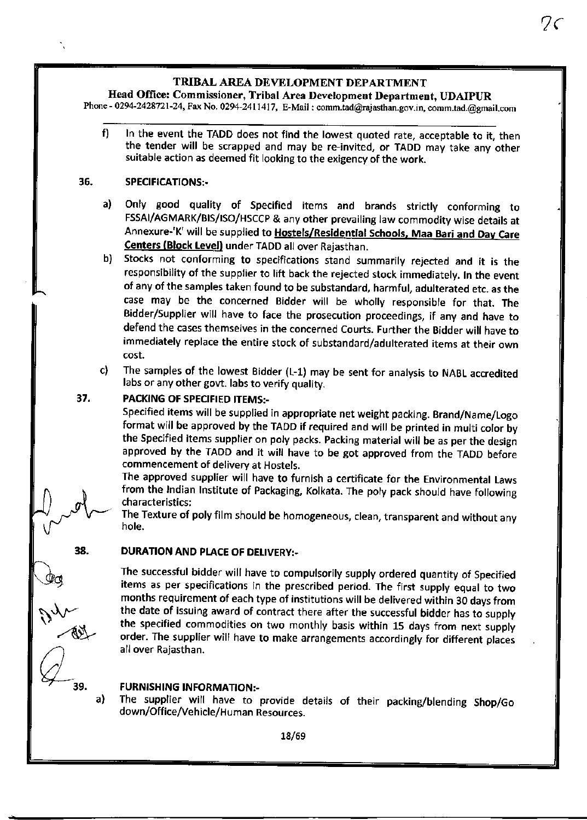$2<$ 

# Head Office: Commissioner, Tribal Area Development Department, UDAIPUR

Phone - 0294-2428721-24, Fax No. 0294-2411417, E-Mail : comm.tad@rajasthan.gov.in, comm.tad.@gmail.com

In the event the TADD does not find the lowest quoted rate, acceptable to it, then f) the tender will be scrapped and may be re-invited, or TADD may take any other suitable action as deemed fit looking to the exigency of the work.

#### 36. SPECIFICATIONS:-

- Only good quality of Specified items and brands strictly conforming to FSSAI/AGMARK/BIS/|SO/HSCCp & any other prevailing law commodity wise details at Annexure-'K' will be supplied to Hostels/Residential Schools, Maa Bari and Day Care Centers (Block Level) under TADD all over Rajasthan. a)
- b) Stocks not conforming to specifications stand summarily rejected and it is the responsibility of the supplier to lift back the rejected stock immediately. In the event of any of the samples taken found to be substandard, harmful, adulterated etc. as the case may be the concerned Bidder will be wholly responsible for that. The Bidder/Supplier will have to face the prosecution proceedings, if any and have to defend the cases themselves in the concerned Courts. Further the Bidder will have to immediately replace the entire stock of 5ubstandard/adulterated items at their own cost.
- The samples of the lowest Bidder (L-1) may be sent for analysis to NABL accredited labs or any other govt. labs to verify quality. c)

#### PACKING OF SPECIFIED ITEMS:-37.

Specified items will be supplied in appropriate net weight packing. Brand/Name/Logo format will be approved by the TADD if required and will be printed in multi color by the Specified items supplier on poly packs. packing material will be as per the design approved by the TADD and it will have to be got approved from the TADD before commencement of deliverv at Hostels.

The approved supplier will have to furnish a certificate for the Environmental Laws from the Indian Institute of Packaging, Kolkata. The poly pack should have following characteristics:

The Texture of poly film should be homogeneous, clean, transparent and without any hole.

#### DURATION AND PLACE OF DELIVERY:-38.

The successful bidder will have to compulsorily supply ordered quantity of Specified items as per specifications in the prescribed period. The first supply equal to two months requirement of each type of institutions will be delivered within 30 davs frorn the date of issuing award of contract there after the successful bidder has to supply the specified commodities on two monthly basis within 15 days from next supply order. The supplier will have to make arrangements accordingly for different places all over Rajasthan.

# **FURNISHING INFORMATION:-**

The supplier will have to provide details of their packing/blending Shop/Go down/Office/Vehicle/Human Resources. a)

 $\overbrace{\mathbb{R}^4}$ 

 $Q_{\tiny 39.}$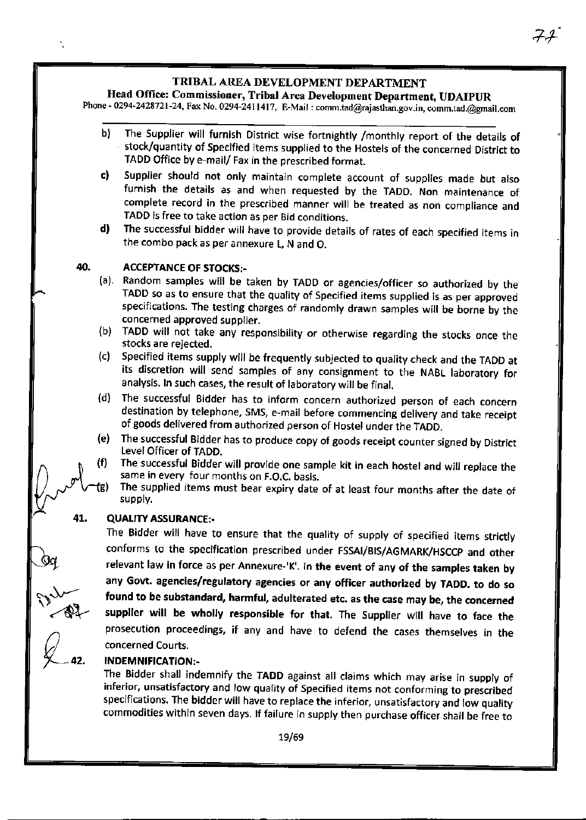$7<sup>1</sup>$ 

# Head Office: Commissioner, Tribal Area Development Department, UDAIPUR

Phone - 0294-2428721-24, Fax No. 0294-2411417, E-Mail : comm.tad@rajasthan.gov.in, comm.tad.@gmail.con

| b)<br>TADD Office by e-mail/ Fax in the prescribed format.<br>c)<br>TADD is free to take action as per Bid conditions.<br>d)<br>the combo pack as per annexure L, N and O.<br>40.<br><b>ACCEPTANCE OF STOCKS:-</b><br>(a).<br>concerned approved supplier.<br>(b)<br>stocks are rejected.<br>(c)<br>analysis. In such cases, the result of laboratory will be final.<br>(d)<br>of goods delivered from authorized person of Hostel under the TADD.<br>(e)<br>The successful Bidder has to produce copy of goods receipt counter signed by District<br>Level Officer of TADD.<br>(f)<br>The successful Bidder will provide one sample kit in each hostel and will replace the<br>same in every four months on F.O.C. basis.<br>te)<br>supply.<br>41.<br><b>QUALITY ASSURANCE:-</b><br>The Bidder will have to ensure that the quality of supply of specified items strictly<br>conforms to the specification prescribed under FSSAI/BIS/AGMARK/HSCCP and other<br>relevant law in force as per Annexure-'K'. In the event of any of the samples taken by<br>any Govt. agencies/regulatory agencies or any officer authorized by TADD. to do so<br>found to be substandard, harmful, adulterated etc. as the case may be, the concerned<br>supplier will be wholly responsible for that. The Supplier will have to face the<br>prosecution proceedings, if any and have to defend the cases themselves in the<br>concerned Courts.<br><b>INDEMNIFICATION:-</b><br>The Bidder shall indemnify the TADD against all claims which may arise in supply of<br>inferior, unsatisfactory and low quality of Specified items not conforming to prescribed<br>specifications. The bidder will have to replace the inferior, unsatisfactory and low quality<br>commodities within seven days. If failure in supply then purchase officer shall be free to |  |                                                                                                                                                                                                                                                             |
|-----------------------------------------------------------------------------------------------------------------------------------------------------------------------------------------------------------------------------------------------------------------------------------------------------------------------------------------------------------------------------------------------------------------------------------------------------------------------------------------------------------------------------------------------------------------------------------------------------------------------------------------------------------------------------------------------------------------------------------------------------------------------------------------------------------------------------------------------------------------------------------------------------------------------------------------------------------------------------------------------------------------------------------------------------------------------------------------------------------------------------------------------------------------------------------------------------------------------------------------------------------------------------------------------------------------------------------------------------------------------------------------------------------------------------------------------------------------------------------------------------------------------------------------------------------------------------------------------------------------------------------------------------------------------------------------------------------------------------------------------------------------------------------------------------------------------------------------------|--|-------------------------------------------------------------------------------------------------------------------------------------------------------------------------------------------------------------------------------------------------------------|
| da<br>Bar<br>Q                                                                                                                                                                                                                                                                                                                                                                                                                                                                                                                                                                                                                                                                                                                                                                                                                                                                                                                                                                                                                                                                                                                                                                                                                                                                                                                                                                                                                                                                                                                                                                                                                                                                                                                                                                                                                                |  | The Supplier will furnish District wise fortnightly /monthly report of the details of<br>stock/quantity of Specified items supplied to the Hostels of the concerned District to                                                                             |
|                                                                                                                                                                                                                                                                                                                                                                                                                                                                                                                                                                                                                                                                                                                                                                                                                                                                                                                                                                                                                                                                                                                                                                                                                                                                                                                                                                                                                                                                                                                                                                                                                                                                                                                                                                                                                                               |  | Supplier should not only maintain complete account of supplies made but also<br>furnish the details as and when requested by the TADD. Non maintenance of<br>complete record in the prescribed manner will be treated as non compliance and                 |
|                                                                                                                                                                                                                                                                                                                                                                                                                                                                                                                                                                                                                                                                                                                                                                                                                                                                                                                                                                                                                                                                                                                                                                                                                                                                                                                                                                                                                                                                                                                                                                                                                                                                                                                                                                                                                                               |  | The successful bidder will have to provide details of rates of each specified items in                                                                                                                                                                      |
|                                                                                                                                                                                                                                                                                                                                                                                                                                                                                                                                                                                                                                                                                                                                                                                                                                                                                                                                                                                                                                                                                                                                                                                                                                                                                                                                                                                                                                                                                                                                                                                                                                                                                                                                                                                                                                               |  |                                                                                                                                                                                                                                                             |
|                                                                                                                                                                                                                                                                                                                                                                                                                                                                                                                                                                                                                                                                                                                                                                                                                                                                                                                                                                                                                                                                                                                                                                                                                                                                                                                                                                                                                                                                                                                                                                                                                                                                                                                                                                                                                                               |  | Random samples will be taken by TADD or agencies/officer so authorized by the<br>TADD so as to ensure that the quality of Specified items supplied is as per approved<br>specifications. The testing charges of randomly drawn samples will be borne by the |
|                                                                                                                                                                                                                                                                                                                                                                                                                                                                                                                                                                                                                                                                                                                                                                                                                                                                                                                                                                                                                                                                                                                                                                                                                                                                                                                                                                                                                                                                                                                                                                                                                                                                                                                                                                                                                                               |  | TADD will not take any responsibility or otherwise regarding the stocks once the                                                                                                                                                                            |
|                                                                                                                                                                                                                                                                                                                                                                                                                                                                                                                                                                                                                                                                                                                                                                                                                                                                                                                                                                                                                                                                                                                                                                                                                                                                                                                                                                                                                                                                                                                                                                                                                                                                                                                                                                                                                                               |  | Specified items supply will be frequently subjected to quality check and the TADD at<br>its discretion will send samples of any consignment to the NABL laboratory for                                                                                      |
|                                                                                                                                                                                                                                                                                                                                                                                                                                                                                                                                                                                                                                                                                                                                                                                                                                                                                                                                                                                                                                                                                                                                                                                                                                                                                                                                                                                                                                                                                                                                                                                                                                                                                                                                                                                                                                               |  | The successful Bidder has to inform concern authorized person of each concern<br>destination by telephone, SMS, e-mail before commencing delivery and take receipt                                                                                          |
|                                                                                                                                                                                                                                                                                                                                                                                                                                                                                                                                                                                                                                                                                                                                                                                                                                                                                                                                                                                                                                                                                                                                                                                                                                                                                                                                                                                                                                                                                                                                                                                                                                                                                                                                                                                                                                               |  |                                                                                                                                                                                                                                                             |
|                                                                                                                                                                                                                                                                                                                                                                                                                                                                                                                                                                                                                                                                                                                                                                                                                                                                                                                                                                                                                                                                                                                                                                                                                                                                                                                                                                                                                                                                                                                                                                                                                                                                                                                                                                                                                                               |  |                                                                                                                                                                                                                                                             |
|                                                                                                                                                                                                                                                                                                                                                                                                                                                                                                                                                                                                                                                                                                                                                                                                                                                                                                                                                                                                                                                                                                                                                                                                                                                                                                                                                                                                                                                                                                                                                                                                                                                                                                                                                                                                                                               |  | The supplied items must bear expiry date of at least four months after the date of                                                                                                                                                                          |
|                                                                                                                                                                                                                                                                                                                                                                                                                                                                                                                                                                                                                                                                                                                                                                                                                                                                                                                                                                                                                                                                                                                                                                                                                                                                                                                                                                                                                                                                                                                                                                                                                                                                                                                                                                                                                                               |  |                                                                                                                                                                                                                                                             |
|                                                                                                                                                                                                                                                                                                                                                                                                                                                                                                                                                                                                                                                                                                                                                                                                                                                                                                                                                                                                                                                                                                                                                                                                                                                                                                                                                                                                                                                                                                                                                                                                                                                                                                                                                                                                                                               |  |                                                                                                                                                                                                                                                             |
|                                                                                                                                                                                                                                                                                                                                                                                                                                                                                                                                                                                                                                                                                                                                                                                                                                                                                                                                                                                                                                                                                                                                                                                                                                                                                                                                                                                                                                                                                                                                                                                                                                                                                                                                                                                                                                               |  |                                                                                                                                                                                                                                                             |
|                                                                                                                                                                                                                                                                                                                                                                                                                                                                                                                                                                                                                                                                                                                                                                                                                                                                                                                                                                                                                                                                                                                                                                                                                                                                                                                                                                                                                                                                                                                                                                                                                                                                                                                                                                                                                                               |  |                                                                                                                                                                                                                                                             |
|                                                                                                                                                                                                                                                                                                                                                                                                                                                                                                                                                                                                                                                                                                                                                                                                                                                                                                                                                                                                                                                                                                                                                                                                                                                                                                                                                                                                                                                                                                                                                                                                                                                                                                                                                                                                                                               |  |                                                                                                                                                                                                                                                             |
|                                                                                                                                                                                                                                                                                                                                                                                                                                                                                                                                                                                                                                                                                                                                                                                                                                                                                                                                                                                                                                                                                                                                                                                                                                                                                                                                                                                                                                                                                                                                                                                                                                                                                                                                                                                                                                               |  |                                                                                                                                                                                                                                                             |
|                                                                                                                                                                                                                                                                                                                                                                                                                                                                                                                                                                                                                                                                                                                                                                                                                                                                                                                                                                                                                                                                                                                                                                                                                                                                                                                                                                                                                                                                                                                                                                                                                                                                                                                                                                                                                                               |  |                                                                                                                                                                                                                                                             |
|                                                                                                                                                                                                                                                                                                                                                                                                                                                                                                                                                                                                                                                                                                                                                                                                                                                                                                                                                                                                                                                                                                                                                                                                                                                                                                                                                                                                                                                                                                                                                                                                                                                                                                                                                                                                                                               |  |                                                                                                                                                                                                                                                             |
|                                                                                                                                                                                                                                                                                                                                                                                                                                                                                                                                                                                                                                                                                                                                                                                                                                                                                                                                                                                                                                                                                                                                                                                                                                                                                                                                                                                                                                                                                                                                                                                                                                                                                                                                                                                                                                               |  |                                                                                                                                                                                                                                                             |
| 19/69                                                                                                                                                                                                                                                                                                                                                                                                                                                                                                                                                                                                                                                                                                                                                                                                                                                                                                                                                                                                                                                                                                                                                                                                                                                                                                                                                                                                                                                                                                                                                                                                                                                                                                                                                                                                                                         |  |                                                                                                                                                                                                                                                             |
|                                                                                                                                                                                                                                                                                                                                                                                                                                                                                                                                                                                                                                                                                                                                                                                                                                                                                                                                                                                                                                                                                                                                                                                                                                                                                                                                                                                                                                                                                                                                                                                                                                                                                                                                                                                                                                               |  |                                                                                                                                                                                                                                                             |

 $\ddot{\phantom{a}}$